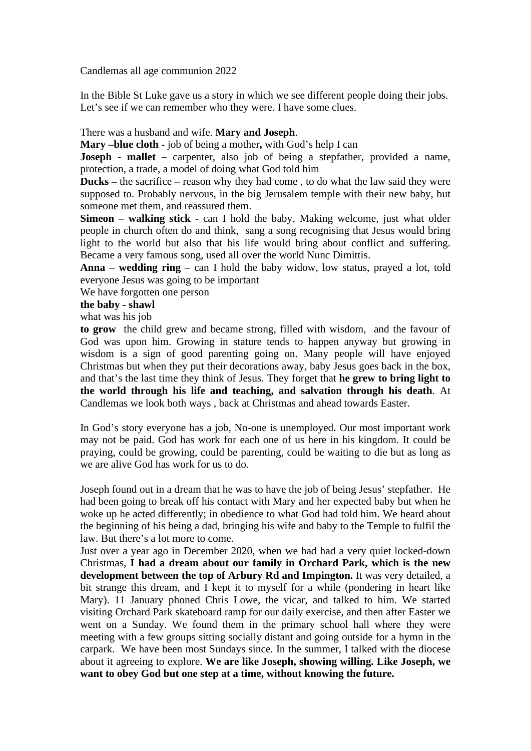Candlemas all age communion 2022

In the Bible St Luke gave us a story in which we see different people doing their jobs. Let's see if we can remember who they were. I have some clues.

## There was a husband and wife. **Mary and Joseph**.

**Mary –blue cloth -** job of being a mother**,** with God's help I can

**Joseph - mallet –** carpenter, also job of being a stepfather, provided a name, protection, a trade, a model of doing what God told him

**Ducks –** the sacrifice – reason why they had come , to do what the law said they were supposed to. Probably nervous, in the big Jerusalem temple with their new baby, but someone met them, and reassured them.

**Simeon** – **walking stick** - can I hold the baby, Making welcome, just what older people in church often do and think, sang a song recognising that Jesus would bring light to the world but also that his life would bring about conflict and suffering. Became a very famous song, used all over the world Nunc Dimittis.

**Anna** – **wedding ring** – can I hold the baby widow, low status, prayed a lot, told everyone Jesus was going to be important

We have forgotten one person

## **the baby - shawl**

what was his job

**to grow** the child grew and became strong, filled with wisdom, and the favour of God was upon him. Growing in stature tends to happen anyway but growing in wisdom is a sign of good parenting going on. Many people will have enjoyed Christmas but when they put their decorations away, baby Jesus goes back in the box, and that's the last time they think of Jesus. They forget that **he grew to bring light to the world through his life and teaching, and salvation through his death**. At Candlemas we look both ways , back at Christmas and ahead towards Easter.

In God's story everyone has a job, No-one is unemployed. Our most important work may not be paid. God has work for each one of us here in his kingdom. It could be praying, could be growing, could be parenting, could be waiting to die but as long as we are alive God has work for us to do.

Joseph found out in a dream that he was to have the job of being Jesus' stepfather. He had been going to break off his contact with Mary and her expected baby but when he woke up he acted differently; in obedience to what God had told him. We heard about the beginning of his being a dad, bringing his wife and baby to the Temple to fulfil the law. But there's a lot more to come.

Just over a year ago in December 2020, when we had had a very quiet locked-down Christmas, **I had a dream about our family in Orchard Park, which is the new development between the top of Arbury Rd and Impington.** It was very detailed, a bit strange this dream, and I kept it to myself for a while (pondering in heart like Mary). 11 January phoned Chris Lowe, the vicar, and talked to him. We started visiting Orchard Park skateboard ramp for our daily exercise, and then after Easter we went on a Sunday. We found them in the primary school hall where they were meeting with a few groups sitting socially distant and going outside for a hymn in the carpark. We have been most Sundays since. In the summer, I talked with the diocese about it agreeing to explore. **We are like Joseph, showing willing. Like Joseph, we want to obey God but one step at a time, without knowing the future.**